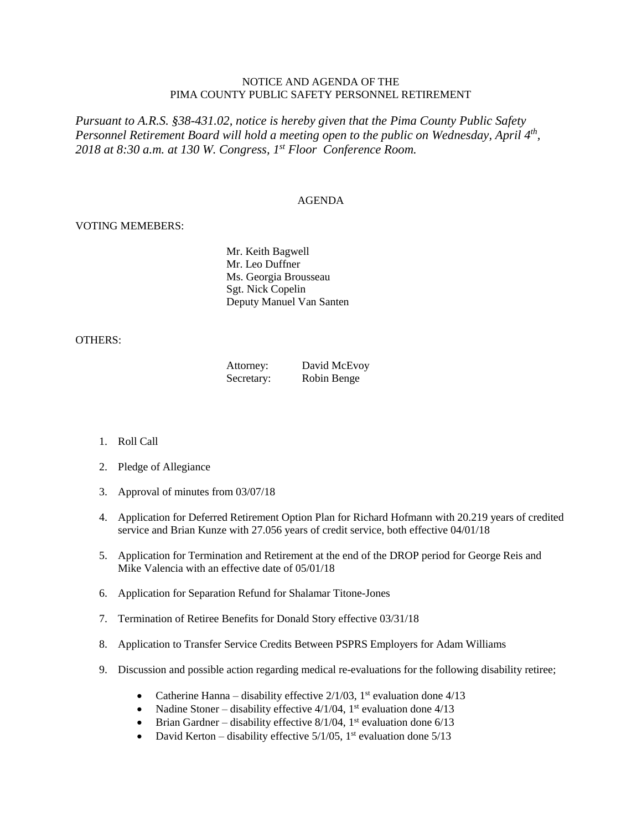## NOTICE AND AGENDA OF THE PIMA COUNTY PUBLIC SAFETY PERSONNEL RETIREMENT

*Pursuant to A.R.S. §38-431.02, notice is hereby given that the Pima County Public Safety Personnel Retirement Board will hold a meeting open to the public on Wednesday, April 4th , 2018 at 8:30 a.m. at 130 W. Congress, 1 st Floor Conference Room.*

## AGENDA

## VOTING MEMEBERS:

Mr. Keith Bagwell Mr. Leo Duffner Ms. Georgia Brousseau Sgt. Nick Copelin Deputy Manuel Van Santen

## OTHERS:

| Attorney:  | David McEvoy |
|------------|--------------|
| Secretary: | Robin Benge  |

- 1. Roll Call
- 2. Pledge of Allegiance
- 3. Approval of minutes from 03/07/18
- 4. Application for Deferred Retirement Option Plan for Richard Hofmann with 20.219 years of credited service and Brian Kunze with 27.056 years of credit service, both effective 04/01/18
- 5. Application for Termination and Retirement at the end of the DROP period for George Reis and Mike Valencia with an effective date of 05/01/18
- 6. Application for Separation Refund for Shalamar Titone-Jones
- 7. Termination of Retiree Benefits for Donald Story effective 03/31/18
- 8. Application to Transfer Service Credits Between PSPRS Employers for Adam Williams
- 9. Discussion and possible action regarding medical re-evaluations for the following disability retiree;
	- Catherine Hanna disability effective  $2/1/03$ , 1<sup>st</sup> evaluation done  $4/13$
	- Nadine Stoner disability effective 4/1/04, 1<sup>st</sup> evaluation done 4/13
	- Brian Gardner disability effective  $8/1/04$ , 1<sup>st</sup> evaluation done  $6/13$
	- David Kerton disability effective  $5/1/05$ , 1<sup>st</sup> evaluation done  $5/13$